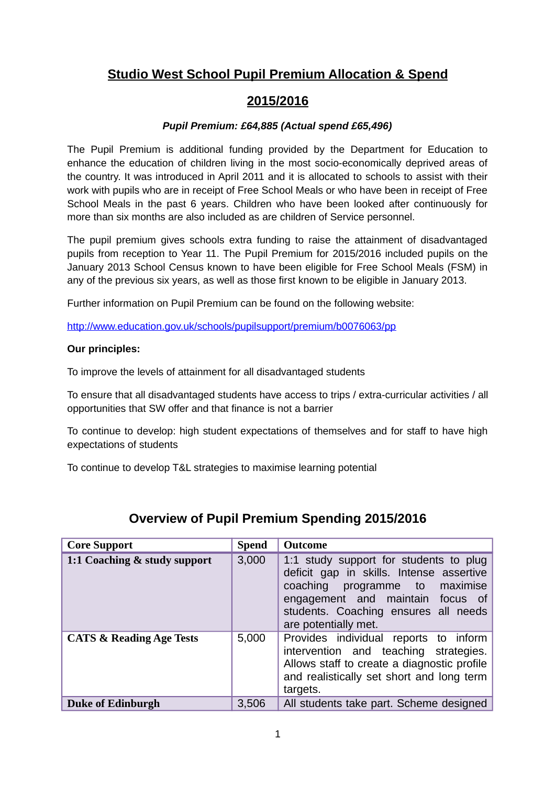#### **Studio West School Pupil Premium Allocation & Spend**

#### **2015/2016**

#### *Pupil Premium: £64,885 (Actual spend £65,496)*

The Pupil Premium is additional funding provided by the Department for Education to enhance the education of children living in the most socio-economically deprived areas of the country. It was introduced in April 2011 and it is allocated to schools to assist with their work with pupils who are in receipt of Free School Meals or who have been in receipt of Free School Meals in the past 6 years. Children who have been looked after continuously for more than six months are also included as are children of Service personnel.

The pupil premium gives schools extra funding to raise the attainment of disadvantaged pupils from reception to Year 11. The Pupil Premium for 2015/2016 included pupils on the January 2013 School Census known to have been eligible for Free School Meals (FSM) in any of the previous six years, as well as those first known to be eligible in January 2013.

Further information on Pupil Premium can be found on the following website:

<http://www.education.gov.uk/schools/pupilsupport/premium/b0076063/pp>

#### **Our principles:**

To improve the levels of attainment for all disadvantaged students

To ensure that all disadvantaged students have access to trips / extra-curricular activities / all opportunities that SW offer and that finance is not a barrier

To continue to develop: high student expectations of themselves and for staff to have high expectations of students

To continue to develop T&L strategies to maximise learning potential

| <b>Core Support</b>                 | <b>Spend</b> | <b>Outcome</b>                                                                                                                                                                                                              |
|-------------------------------------|--------------|-----------------------------------------------------------------------------------------------------------------------------------------------------------------------------------------------------------------------------|
| 1:1 Coaching & study support        | 3,000        | 1:1 study support for students to plug<br>deficit gap in skills. Intense assertive<br>coaching<br>programme to maximise<br>engagement and maintain focus of<br>students. Coaching ensures all needs<br>are potentially met. |
| <b>CATS &amp; Reading Age Tests</b> | 5,000        | Provides individual reports to inform<br>intervention and teaching strategies.<br>Allows staff to create a diagnostic profile<br>and realistically set short and long term<br>targets.                                      |
| <b>Duke of Edinburgh</b>            | 3,506        | All students take part. Scheme designed                                                                                                                                                                                     |

#### **Overview of Pupil Premium Spending 2015/2016**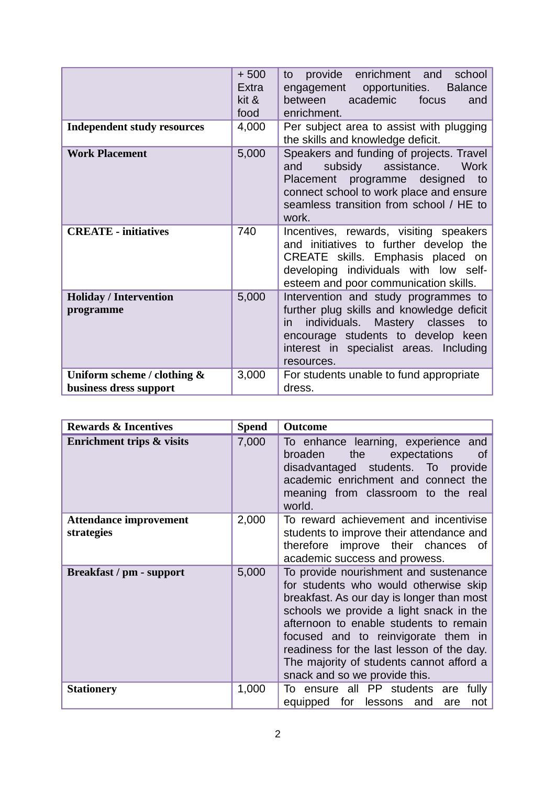|                                                       | $+500$<br>Extra<br>kit &<br>food | provide<br>enrichment<br>school<br>and<br>to<br>engagement opportunities.<br><b>Balance</b><br>academic<br>between<br>focus<br>and<br>enrichment.                                                                                |
|-------------------------------------------------------|----------------------------------|----------------------------------------------------------------------------------------------------------------------------------------------------------------------------------------------------------------------------------|
| <b>Independent study resources</b>                    | 4,000                            | Per subject area to assist with plugging<br>the skills and knowledge deficit.                                                                                                                                                    |
| <b>Work Placement</b>                                 | 5,000                            | Speakers and funding of projects. Travel<br>subsidy assistance.<br>Work<br>and<br>Placement programme designed to<br>connect school to work place and ensure<br>seamless transition from school / HE to<br>work.                 |
| <b>CREATE - initiatives</b>                           | 740                              | Incentives, rewards, visiting speakers<br>and initiatives to further develop the<br>CREATE skills. Emphasis placed on<br>developing individuals with low self-<br>esteem and poor communication skills.                          |
| <b>Holiday / Intervention</b><br>programme            | 5,000                            | Intervention and study programmes to<br>further plug skills and knowledge deficit<br>individuals.<br>Mastery classes<br>to<br>in.<br>encourage students to develop keen<br>interest in specialist areas. Including<br>resources. |
| Uniform scheme / clothing &<br>business dress support | 3,000                            | For students unable to fund appropriate<br>dress.                                                                                                                                                                                |

| <b>Rewards &amp; Incentives</b>             | <b>Spend</b> | <b>Outcome</b>                                                                                                                                                                                                                                                                                                                                                                    |
|---------------------------------------------|--------------|-----------------------------------------------------------------------------------------------------------------------------------------------------------------------------------------------------------------------------------------------------------------------------------------------------------------------------------------------------------------------------------|
| <b>Enrichment trips &amp; visits</b>        | 7,000        | To enhance learning, experience<br>and<br>expectations<br>broaden<br>the<br>0f<br>disadvantaged students. To<br>provide<br>academic enrichment and connect the<br>meaning from classroom to the real<br>world.                                                                                                                                                                    |
| <b>Attendance improvement</b><br>strategies | 2,000        | To reward achievement and incentivise<br>students to improve their attendance and<br>therefore improve their chances<br>of<br>academic success and prowess.                                                                                                                                                                                                                       |
| Breakfast / pm - support                    | 5,000        | To provide nourishment and sustenance<br>for students who would otherwise skip<br>breakfast. As our day is longer than most<br>schools we provide a light snack in the<br>afternoon to enable students to remain<br>focused and to reinvigorate them in<br>readiness for the last lesson of the day.<br>The majority of students cannot afford a<br>snack and so we provide this. |
| <b>Stationery</b>                           | 1,000        | To ensure all PP students<br>fully<br>are<br>lessons and<br>equipped<br>for<br>are<br>not                                                                                                                                                                                                                                                                                         |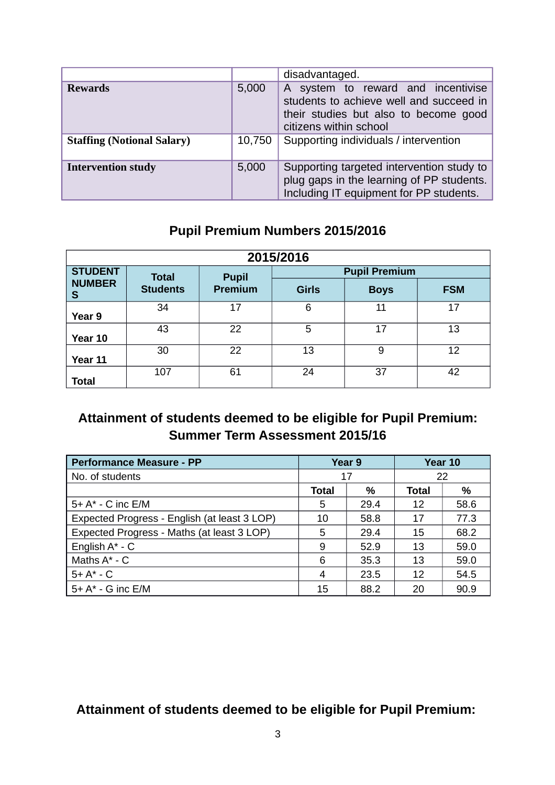|                                   |        | disadvantaged.                                                                                                                                   |  |  |  |  |
|-----------------------------------|--------|--------------------------------------------------------------------------------------------------------------------------------------------------|--|--|--|--|
| Rewards                           | 5,000  | A system to reward and incentivise<br>students to achieve well and succeed in<br>their studies but also to become good<br>citizens within school |  |  |  |  |
| <b>Staffing (Notional Salary)</b> | 10,750 | Supporting individuals / intervention                                                                                                            |  |  |  |  |
| <b>Intervention study</b>         | 5,000  | Supporting targeted intervention study to<br>plug gaps in the learning of PP students.<br>Including IT equipment for PP students.                |  |  |  |  |

# **Pupil Premium Numbers 2015/2016**

| 2015/2016          |                 |                |              |                      |            |  |
|--------------------|-----------------|----------------|--------------|----------------------|------------|--|
| <b>STUDENT</b>     | <b>Total</b>    | <b>Pupil</b>   |              | <b>Pupil Premium</b> |            |  |
| <b>NUMBER</b><br>S | <b>Students</b> | <b>Premium</b> | <b>Girls</b> | <b>Boys</b>          | <b>FSM</b> |  |
| Year 9             | 34              | 17             | 6            | 11                   | 17         |  |
| Year 10            | 43              | 22             | 5            | 17                   | 13         |  |
| Year 11            | 30              | 22             | 13           | 9                    | 12         |  |
| <b>Total</b>       | 107             | 61             | 24           | 37                   | 42         |  |

### **Attainment of students deemed to be eligible for Pupil Premium: Summer Term Assessment 2015/16**

| <b>Performance Measure - PP</b>              |              | Year 9 | Year 10 |      |
|----------------------------------------------|--------------|--------|---------|------|
| No. of students                              | 17           |        | 22      |      |
|                                              | <b>Total</b> | %      | Total   | %    |
| $5+ A^* - C$ inc $E/M$                       | 5            | 29.4   | 12      | 58.6 |
| Expected Progress - English (at least 3 LOP) | 10           | 58.8   | 17      | 77.3 |
| Expected Progress - Maths (at least 3 LOP)   | 5            | 29.4   | 15      | 68.2 |
| English $A^*$ - C                            | 9            | 52.9   | 13      | 59.0 |
| Maths $A^*$ - $C$                            | 6            | 35.3   | 13      | 59.0 |
| $5+ A^* - C$                                 | 4            | 23.5   | 12      | 54.5 |
| $5+ A^*$ - G inc E/M                         | 15           | 88.2   | 20      | 90.9 |

# **Attainment of students deemed to be eligible for Pupil Premium:**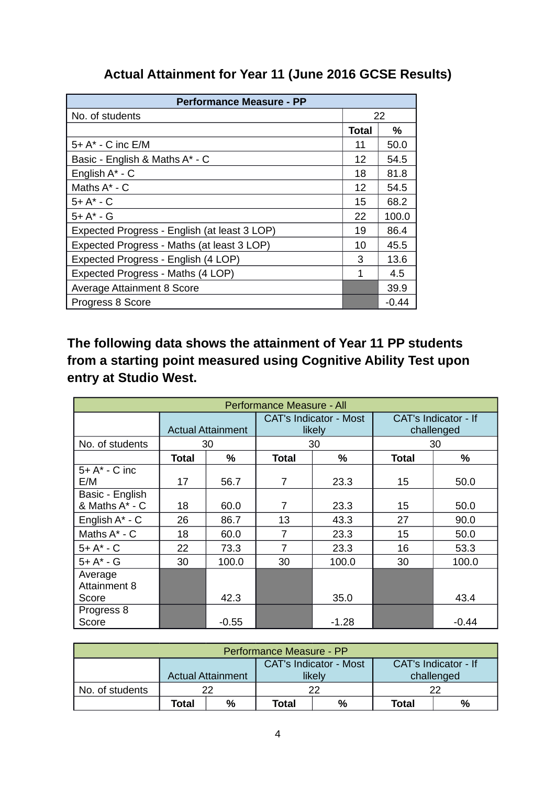### **Actual Attainment for Year 11 (June 2016 GCSE Results)**

| <b>Performance Measure - PP</b>              |              |       |  |  |  |  |
|----------------------------------------------|--------------|-------|--|--|--|--|
| No. of students                              | 22           |       |  |  |  |  |
|                                              | <b>Total</b> | %     |  |  |  |  |
| 5+ A* - C inc E/M                            | 11           | 50.0  |  |  |  |  |
| Basic - English & Maths A* - C               | 12           | 54.5  |  |  |  |  |
| English $A^*$ - C                            | 18           | 81.8  |  |  |  |  |
| Maths $A^*$ - $C$                            | 12           | 54.5  |  |  |  |  |
| $5+ A^* - C$                                 | 15           | 68.2  |  |  |  |  |
| $5+ A^* - G$                                 | 22           | 100.0 |  |  |  |  |
| Expected Progress - English (at least 3 LOP) | 19           | 86.4  |  |  |  |  |
| Expected Progress - Maths (at least 3 LOP)   | 10           | 45.5  |  |  |  |  |
| Expected Progress - English (4 LOP)          | 3            | 13.6  |  |  |  |  |
| Expected Progress - Maths (4 LOP)            | 1            | 4.5   |  |  |  |  |
| Average Attainment 8 Score                   |              | 39.9  |  |  |  |  |
| Progress 8 Score                             |              | -0.44 |  |  |  |  |

**The following data shows the attainment of Year 11 PP students from a starting point measured using Cognitive Ability Test upon entry at Studio West.** 

| Performance Measure - All         |                          |         |                                         |         |                                    |         |  |
|-----------------------------------|--------------------------|---------|-----------------------------------------|---------|------------------------------------|---------|--|
|                                   | <b>Actual Attainment</b> |         | <b>CAT's Indicator - Most</b><br>likely |         | CAT's Indicator - If<br>challenged |         |  |
| No. of students                   |                          | 30      |                                         | 30      |                                    | 30      |  |
|                                   | Total                    | %       | Total                                   | %       | <b>Total</b>                       | %       |  |
| $5+ A^* - C$ inc<br>E/M           | 17                       | 56.7    | 7                                       | 23.3    | 15                                 | 50.0    |  |
| Basic - English<br>& Maths A* - C | 18                       | 60.0    | $\overline{7}$                          | 23.3    | 15                                 | 50.0    |  |
| English $A^*$ - C                 | 26                       | 86.7    | 13                                      | 43.3    | 27                                 | 90.0    |  |
| Maths $A^*$ - $C$                 | 18                       | 60.0    | 7                                       | 23.3    | 15                                 | 50.0    |  |
| $5+ A^* - C$                      | 22                       | 73.3    | 7                                       | 23.3    | 16                                 | 53.3    |  |
| $5+ A^* - G$                      | 30                       | 100.0   | 30                                      | 100.0   | 30                                 | 100.0   |  |
| Average<br>Attainment 8           |                          |         |                                         |         |                                    |         |  |
| Score                             |                          | 42.3    |                                         | 35.0    |                                    | 43.4    |  |
| Progress 8<br>Score               |                          | $-0.55$ |                                         | $-1.28$ |                                    | $-0.44$ |  |

| Performance Measure - PP                                                                    |       |    |              |   |       |   |  |
|---------------------------------------------------------------------------------------------|-------|----|--------------|---|-------|---|--|
| <b>CAT's Indicator - Most</b><br>CAT's Indicator - If<br><b>Actual Attainment</b><br>likely |       |    |              |   |       |   |  |
|                                                                                             |       |    | challenged   |   |       |   |  |
| No. of students                                                                             |       | າາ |              |   |       |   |  |
|                                                                                             | Total | %  | <b>Total</b> | % | Total | % |  |